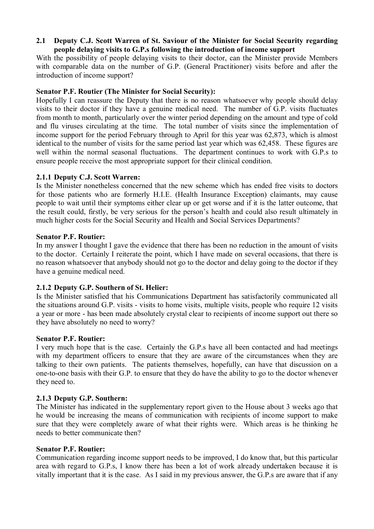# **2.1** � **Deputy C.J. Scott Warren of St. Saviour of the Minister for Social Security regarding people delaying visits to G.P.s following the introduction of income support**

With the possibility of people delaying visits to their doctor, can the Minister provide Members with comparable data on the number of G.P. (General Practitioner) visits before and after the introduction of income support?

## **Senator P.F. Routier (The Minister for Social Security):**

Hopefully I can reassure the Deputy that there is no reason whatsoever why people should delay visits to their doctor if they have a genuine medical need. The number of G.P. visits fluctuates from month to month, particularly over the winter period depending on the amount and type of cold and flu viruses circulating at the time. The total number of visits since the implementation of income support for the period February through to April for this year was 62,873, which is almost identical to the number of visits for the same period last year which was 62,458. These figures are well within the normal seasonal fluctuations. The department continues to work with G.P.s to ensure people receive the most appropriate support for their clinical condition.

### **2.1.1 Deputy C.J. Scott Warren:**

Is the Minister nonetheless concerned that the new scheme which has ended free visits to doctors for those patients who are formerly H.I.E. (Health Insurance Exception) claimants, may cause people to wait until their symptoms either clear up or get worse and if it is the latter outcome, that the result could, firstly, be very serious for the person's health and could also result ultimately in much higher costs for the Social Security and Health and Social Services Departments?

#### **Senator P.F. Routier:**

In my answer I thought I gave the evidence that there has been no reduction in the amount of visits to the doctor. Certainly I reiterate the point, which I have made on several occasions, that there is no reason whatsoever that anybody should not go to the doctor and delay going to the doctor if they have a genuine medical need.

## **2.1.2 Deputy G.P. Southern of St. Helier:**

Is the Minister satisfied that his Communications Department has satisfactorily communicated all the situations around G.P. visits - visits to home visits, multiple visits, people who require 12 visits a year or more - has been made absolutely crystal clear to recipients of income support out there so they have absolutely no need to worry?

#### **Senator P.F. Routier:**

I very much hope that is the case. Certainly the G.P.s have all been contacted and had meetings with my department officers to ensure that they are aware of the circumstances when they are talking to their own patients. The patients themselves, hopefully, can have that discussion on a one-to-one basis with their G.P. to ensure that they do have the ability to go to the doctor whenever they need to.

## **2.1.3 Deputy G.P. Southern:**

The Minister has indicated in the supplementary report given to the House about 3 weeks ago that he would be increasing the means of communication with recipients of income support to make sure that they were completely aware of what their rights were. Which areas is he thinking he needs to better communicate then?

#### **Senator P.F. Routier:**

Communication regarding income support needs to be improved, I do know that, but this particular area with regard to G.P.s, I know there has been a lot of work already undertaken because it is vitally important that it is the case. As I said in my previous answer, the G.P.s are aware that if any